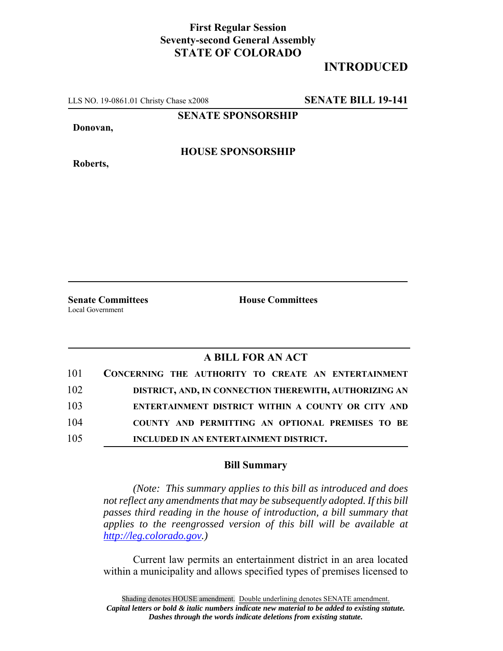## **First Regular Session Seventy-second General Assembly STATE OF COLORADO**

## **INTRODUCED**

LLS NO. 19-0861.01 Christy Chase x2008 **SENATE BILL 19-141**

**SENATE SPONSORSHIP**

**Donovan,**

**Roberts,**

**HOUSE SPONSORSHIP**

**Senate Committees House Committees** Local Government

## **A BILL FOR AN ACT**

| 101 | CONCERNING THE AUTHORITY TO CREATE AN ENTERTAINMENT    |
|-----|--------------------------------------------------------|
| 102 | DISTRICT, AND, IN CONNECTION THEREWITH, AUTHORIZING AN |
| 103 | ENTERTAINMENT DISTRICT WITHIN A COUNTY OR CITY AND     |
| 104 | COUNTY AND PERMITTING AN OPTIONAL PREMISES TO BE       |
| 105 | INCLUDED IN AN ENTERTAINMENT DISTRICT.                 |

## **Bill Summary**

*(Note: This summary applies to this bill as introduced and does not reflect any amendments that may be subsequently adopted. If this bill passes third reading in the house of introduction, a bill summary that applies to the reengrossed version of this bill will be available at http://leg.colorado.gov.)*

Current law permits an entertainment district in an area located within a municipality and allows specified types of premises licensed to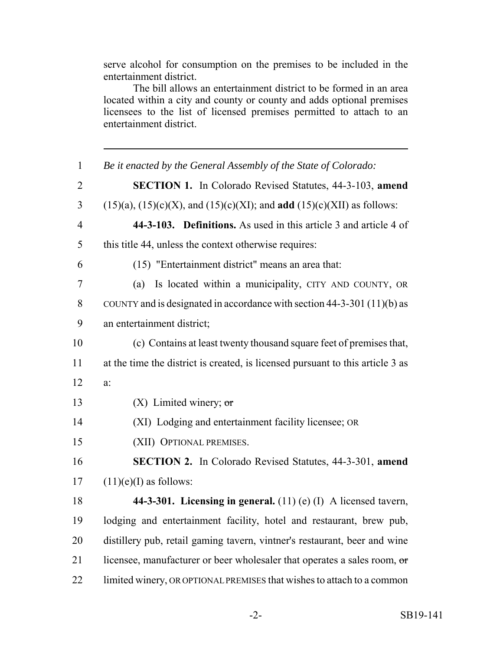serve alcohol for consumption on the premises to be included in the entertainment district.

The bill allows an entertainment district to be formed in an area located within a city and county or county and adds optional premises licensees to the list of licensed premises permitted to attach to an entertainment district.

| $\mathbf{1}$   | Be it enacted by the General Assembly of the State of Colorado:                          |
|----------------|------------------------------------------------------------------------------------------|
| $\overline{2}$ | <b>SECTION 1.</b> In Colorado Revised Statutes, 44-3-103, amend                          |
| $\overline{3}$ | $(15)(a)$ , $(15)(c)(X)$ , and $(15)(c)(XI)$ ; and <b>add</b> $(15)(c)(XII)$ as follows: |
| $\overline{4}$ | 44-3-103. Definitions. As used in this article 3 and article 4 of                        |
| 5              | this title 44, unless the context otherwise requires:                                    |
| 6              | (15) "Entertainment district" means an area that:                                        |
| $\overline{7}$ | Is located within a municipality, CITY AND COUNTY, OR<br>(a)                             |
| 8              | COUNTY and is designated in accordance with section $44-3-301(11)(b)$ as                 |
| 9              | an entertainment district;                                                               |
| 10             | (c) Contains at least twenty thousand square feet of premises that,                      |
| 11             | at the time the district is created, is licensed pursuant to this article 3 as           |
| 12             | $a$ :                                                                                    |
| 13             | $(X)$ Limited winery; or                                                                 |
| 14             | (XI) Lodging and entertainment facility licensee; OR                                     |
| 15             | (XII) OPTIONAL PREMISES.                                                                 |
| 16             | <b>SECTION 2.</b> In Colorado Revised Statutes, 44-3-301, amend                          |
| 17             | $(11)(e)$ (I) as follows:                                                                |
| 18             | 44-3-301. Licensing in general. $(11)$ (e) $(I)$ A licensed tavern,                      |
| 19             | lodging and entertainment facility, hotel and restaurant, brew pub,                      |
| 20             | distillery pub, retail gaming tavern, vintner's restaurant, beer and wine                |
| 21             | licensee, manufacturer or beer wholesaler that operates a sales room, or                 |
| 22             | limited winery, OR OPTIONAL PREMISES that wishes to attach to a common                   |